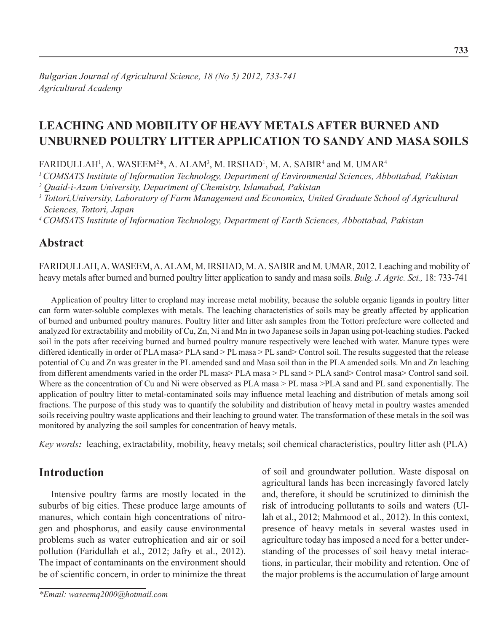# **Leaching and mobility of heavy metals after burned and UNburned poultry litter application to sandy and masa soils**

FARIDULLAH<sup>1</sup>, A. WASEEM<sup>2\*</sup>, A. ALAM<sup>3</sup>, M. IRSHAD<sup>1</sup>, M. A. SABIR<sup>4</sup> and M. UMAR<sup>4</sup>

*1 COMSATS Institute of Information Technology, Department of Environmental Sciences, Abbottabad, Pakistan 2 Quaid-i-Azam University, Department of Chemistry, Islamabad, Pakistan*

<sup>3</sup> Tottori,University, Laboratory of Farm Management and Economics, United Graduate School of Agricultural *Sciences, Tottori, Japan*

*4 COMSATS Institute of Information Technology, Department of Earth Sciences, Abbottabad, Pakistan*

### **Abstract**

Faridullah, A. Waseem, A. ALAM, M. Irshad, M. A. Sabir and M. Umar, 2012. Leaching and mobility of heavy metals after burned and burned poultry litter application to sandy and masa soils. *Bulg. J. Agric. Sci.,* 18: 733-741

Application of poultry litter to cropland may increase metal mobility, because the soluble organic ligands in poultry litter can form water-soluble complexes with metals. The leaching characteristics of soils may be greatly affected by application of burned and unburned poultry manures. Poultry litter and litter ash samples from the Tottori prefecture were collected and analyzed for extractability and mobility of Cu, Zn, Ni and Mn in two Japanese soils in Japan using pot-leaching studies. Packed soil in the pots after receiving burned and burned poultry manure respectively were leached with water. Manure types were differed identically in order of PLA masa> PLA sand > PL masa > PL sand> Control soil. The results suggested that the release potential of Cu and Zn was greater in the PL amended sand and Masa soil than in the PLA amended soils. Mn and Zn leaching from different amendments varied in the order PL masa> PLA masa > PL sand > PLA sand > Control masa > Control sand soil. Where as the concentration of Cu and Ni were observed as PLA masa  $>$ PL masa  $>$ PLA sand and PL sand exponentially. The application of poultry litter to metal-contaminated soils may influence metal leaching and distribution of metals among soil fractions. The purpose of this study was to quantify the solubility and distribution of heavy metal in poultry wastes amended soils receiving poultry waste applications and their leaching to ground water. The transformation of these metals in the soil was monitored by analyzing the soil samples for concentration of heavy metals.

*Key words:* leaching, extractability, mobility, heavy metals; soil chemical characteristics, poultry litter ash (PLA)

## **Introduction**

Intensive poultry farms are mostly located in the suburbs of big cities. These produce large amounts of manures, which contain high concentrations of nitrogen and phosphorus, and easily cause environmental problems such as water eutrophication and air or soil pollution (Faridullah et al., 2012; Jafry et al., 2012). The impact of contaminants on the environment should be of scientific concern, in order to minimize the threat

*\*Email: waseemq2000@hotmail.com*

of soil and groundwater pollution. Waste disposal on agricultural lands has been increasingly favored lately and, therefore, it should be scrutinized to diminish the risk of introducing pollutants to soils and waters (Ullah et al., 2012; Mahmood et al., 2012). In this context, presence of heavy metals in several wastes used in agriculture today has imposed a need for a better understanding of the processes of soil heavy metal interactions, in particular, their mobility and retention. One of the major problems is the accumulation of large amount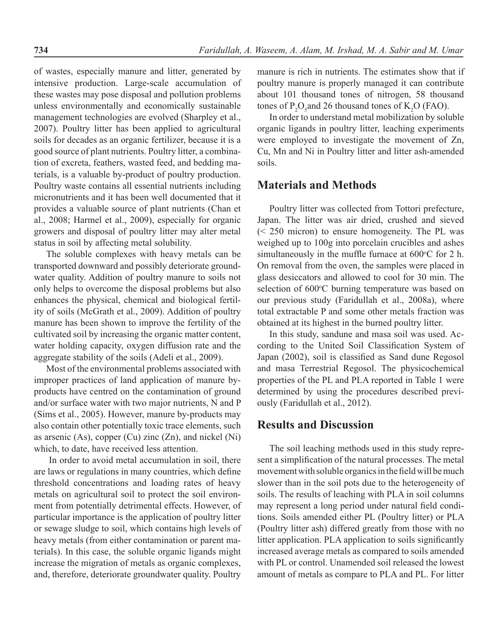of wastes, especially manure and litter, generated by intensive production. Large-scale accumulation of these wastes may pose disposal and pollution problems unless environmentally and economically sustainable management technologies are evolved (Sharpley et al., 2007). Poultry litter has been applied to agricultural soils for decades as an organic fertilizer, because it is a good source of plant nutrients. Poultry litter, a combination of excreta, feathers, wasted feed, and bedding materials, is a valuable by-product of poultry production. Poultry waste contains all essential nutrients including micronutrients and it has been well documented that it provides a valuable source of plant nutrients (Chan et al., 2008; Harmel et al., 2009), especially for organic growers and disposal of poultry litter may alter metal status in soil by affecting metal solubility.

The soluble complexes with heavy metals can be transported downward and possibly deteriorate groundwater quality. Addition of poultry manure to soils not only helps to overcome the disposal problems but also enhances the physical, chemical and biological fertility of soils (McGrath et al., 2009). Addition of poultry manure has been shown to improve the fertility of the cultivated soil by increasing the organic matter content, water holding capacity, oxygen diffusion rate and the aggregate stability of the soils (Adeli et al., 2009).

Most of the environmental problems associated with improper practices of land application of manure byproducts have centred on the contamination of ground and/or surface water with two major nutrients, N and P (Sims et al., 2005). However, manure by-products may also contain other potentially toxic trace elements, such as arsenic (As), copper (Cu) zinc (Zn), and nickel (Ni) which, to date, have received less attention.

In order to avoid metal accumulation in soil, there are laws or regulations in many countries, which define threshold concentrations and loading rates of heavy metals on agricultural soil to protect the soil environment from potentially detrimental effects. However, of particular importance is the application of poultry litter or sewage sludge to soil, which contains high levels of heavy metals (from either contamination or parent materials). In this case, the soluble organic ligands might increase the migration of metals as organic complexes, and, therefore, deteriorate groundwater quality. Poultry

manure is rich in nutrients. The estimates show that if poultry manure is properly managed it can contribute about 101 thousand tones of nitrogen, 58 thousand tones of  $P_2O_5$  and 26 thousand tones of  $K_2O$  (FAO).

In order to understand metal mobilization by soluble organic ligands in poultry litter, leaching experiments were employed to investigate the movement of Zn, Cu, Mn and Ni in Poultry litter and litter ash-amended soils.

#### **Materials and Methods**

Poultry litter was collected from Tottori prefecture, Japan. The litter was air dried, crushed and sieved (< 250 micron) to ensure homogeneity. The PL was weighed up to 100g into porcelain crucibles and ashes simultaneously in the muffle furnace at  $600^{\circ}$ C for 2 h. On removal from the oven, the samples were placed in glass desiccators and allowed to cool for 30 min. The selection of 600°C burning temperature was based on our previous study (Faridullah et al., 2008a), where total extractable P and some other metals fraction was obtained at its highest in the burned poultry litter.

In this study, sandune and masa soil was used. According to the United Soil Classification System of Japan (2002), soil is classified as Sand dune Regosol and masa Terrestrial Regosol. The physicochemical properties of the PL and PLA reported in Table 1 were determined by using the procedures described previously (Faridullah et al., 2012).

## **Results and Discussion**

The soil leaching methods used in this study represent a simplification of the natural processes. The metal movement with soluble organics in the field will be much slower than in the soil pots due to the heterogeneity of soils. The results of leaching with PLA in soil columns may represent a long period under natural field conditions. Soils amended either PL (Poultry litter) or PLA (Poultry litter ash) differed greatly from those with no litter application. PLA application to soils significantly increased average metals as compared to soils amended with PL or control. Unamended soil released the lowest amount of metals as compare to PLA and PL. For litter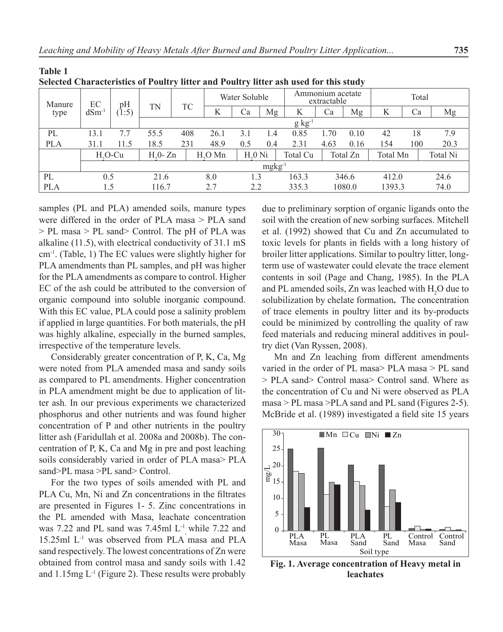| sciected Unaracteristics of Fourtry meer and Fourtry meer ash used for this study |                  |             |                                  |     |               |          |                                 |          |       |          |        |     |      |
|-----------------------------------------------------------------------------------|------------------|-------------|----------------------------------|-----|---------------|----------|---------------------------------|----------|-------|----------|--------|-----|------|
| Manure                                                                            | EС<br>$dSm^{-1}$ | pH<br>(1:5) | TN                               | TC  | Water Soluble |          | Ammonium acetate<br>extractable |          | Total |          |        |     |      |
| type                                                                              |                  |             |                                  |     | N             | Ca       | Mg                              | K        | Ca    | Mg       | K      | Ca  | Mg   |
|                                                                                   |                  |             | $g kg^{-1}$                      |     |               |          |                                 |          |       |          |        |     |      |
| PL                                                                                | 13.1             | 7.7         | 55.5                             | 408 | 26.1          | 3.1      | 1.4                             | 0.85     | L.70  | 0.10     | 42     | 18  | 7.9  |
| <b>PLA</b>                                                                        | 31.1             | 11.5        | 18.5                             | 231 | 48.9          | 0.5      | 0.4                             | 2.31     | 4.63  | 0.16     | 154    | 100 | 20.3 |
|                                                                                   | $H.O-Cu$         |             | $H0$ Mn<br>$H20$ Ni<br>$H20- Zn$ |     | Total Cu      | Total Zn |                                 | Total Mn |       | Total Ni |        |     |      |
|                                                                                   | $mgkg^{-1}$      |             |                                  |     |               |          |                                 |          |       |          |        |     |      |
| PL                                                                                | 0.5              |             | 21.6                             |     | 8.0           | 1.3      |                                 | 163.3    |       | 346.6    | 412.0  |     | 24.6 |
| <b>PLA</b>                                                                        | 1.5              |             | 116.7                            |     | 2.7           | 2.2      |                                 | 335.3    |       | 1080.0   | 1393.3 |     | 74.0 |

**Selected Characteristics of Poultry litter and Poultry litter ash used for this study**

samples (PL and PLA) amended soils, manure types were differed in the order of PLA masa > PLA sand > PL masa > PL sand> Control. The pH of PLA was alkaline (11.5), with electrical conductivity of 31.1 mS cm-1. (Table, 1) The EC values were slightly higher for PLA amendments than PL samples, and pH was higher for the PLA amendments as compare to control. Higher EC of the ash could be attributed to the conversion of organic compound into soluble inorganic compound. With this EC value, PLA could pose a salinity problem if applied in large quantities. For both materials, the pH was highly alkaline, especially in the burned samples, irrespective of the temperature levels.

**Table 1**

Considerably greater concentration of P, K, Ca, Mg were noted from PLA amended masa and sandy soils as compared to PL amendments. Higher concentration in PLA amendment might be due to application of litter ash. In our previous experiments we characterized phosphorus and other nutrients and was found higher concentration of P and other nutrients in the poultry litter ash (Faridullah et al. 2008a and 2008b). The concentration of P, K, Ca and Mg in pre and post leaching soils considerably varied in order of PLA masa> PLA sand>PL masa >PL sand> Control.

For the two types of soils amended with PL and PLA Cu, Mn, Ni and Zn concentrations in the filtrates are presented in Figures 1- 5. Zinc concentrations in the PL amended with Masa, leachate concentration was 7.22 and PL sand was 7.45ml  $L^{-1}$ , while 7.22 and 15.25ml L-1 was observed from PLA masa and PLA sand respectively. The lowest concentrations of Zn were obtained from control masa and sandy soils with 1.42 and 1.15mg  $L^{-1}$  (Figure 2). These results were probably

due to preliminary sorption of organic ligands onto the soil with the creation of new sorbing surfaces. Mitchell et al. (1992) showed that Cu and Zn accumulated to toxic levels for plants in fields with a long history of broiler litter applications. Similar to poultry litter, longterm use of wastewater could elevate the trace element contents in soil (Page and Chang, 1985). In the PLA and PL amended soils, Zn was leached with  $H_2O$  due to solubilization by chelate formation**.** The concentration of trace elements in poultry litter and its by-products could be minimized by controlling the quality of raw feed materials and reducing mineral additives in poultry diet (Van Ryssen, 2008).

Mn and Zn leaching from different amendments varied in the order of PL masa> PLA masa > PL sand > PLA sand> Control masa> Control sand. Where as the concentration of Cu and Ni were observed as PLA masa > PL masa >PLA sand and PL sand (Figures 2-5). McBride et al. (1989) investigated a field site 15 years



**Fig. 1. Average concentration of Heavy metal in leachates**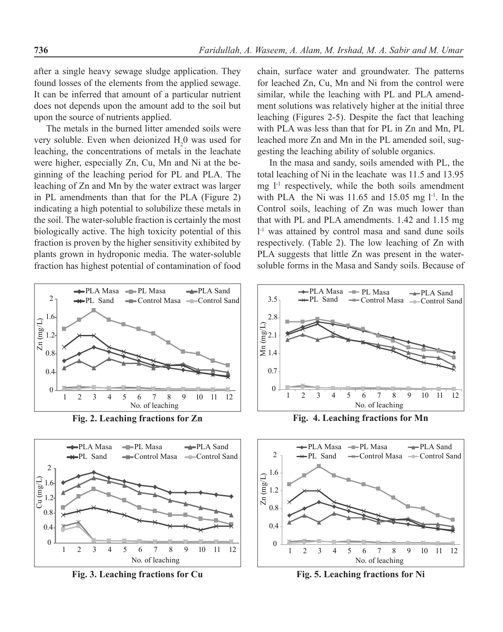after a single heavy sewage sludge application. They found losses of the elements from the applied sewage. It can be inferred that amount of a particular nutrient does not depends upon the amount add to the soil but upon the source of nutrients applied.

The metals in the burned litter amended soils were very soluble. Even when deionized  $H_2$ <sup>0</sup> was used for leaching, the concentrations of metals in the leachate were higher, especially Zn, Cu, Mn and Ni at the beginning of the leaching period for PL and PLA. The leaching of Zn and Mn by the water extract was larger in PL amendments than that for the PLA (Figure 2) indicating a high potential to solubilize these metals in the soil. The water-soluble fraction is certainly the most biologically active. The high toxicity potential of this fraction is proven by the higher sensitivity exhibited by plants grown in hydroponic media. The water-soluble fraction has highest potential of contamination of food



**Fig. 2. Leaching fractions for Zn**



**Fig. 3. Leaching fractions for Cu**

chain, surface water and groundwater. The patterns for leached Zn, Cu, Mn and Ni from the control were similar, while the leaching with PL and PLA amendment solutions was relatively higher at the initial three leaching (Figures 2-5). Despite the fact that leaching with PLA was less than that for PL in Zn and Mn, PL leached more Zn and Mn in the PL amended soil, suggesting the leaching ability of soluble organics.

In the masa and sandy, soils amended with PL, the total leaching of Ni in the leachate was 11.5 and 13.95 mg  $l<sup>-1</sup>$  respectively, while the both soils amendment with PLA the Ni was  $11.65$  and  $15.05$  mg  $l<sup>-1</sup>$ . In the Control soils, leaching of Zn was much lower than that with PL and PLA amendments. 1.42 and 1.15 mg l -1 was attained by control masa and sand dune soils respectively. (Table 2). The low leaching of Zn with PLA suggests that little Zn was present in the watersoluble forms in the Masa and Sandy soils. Because of



**Fig. 4. Leaching fractions for Mn**



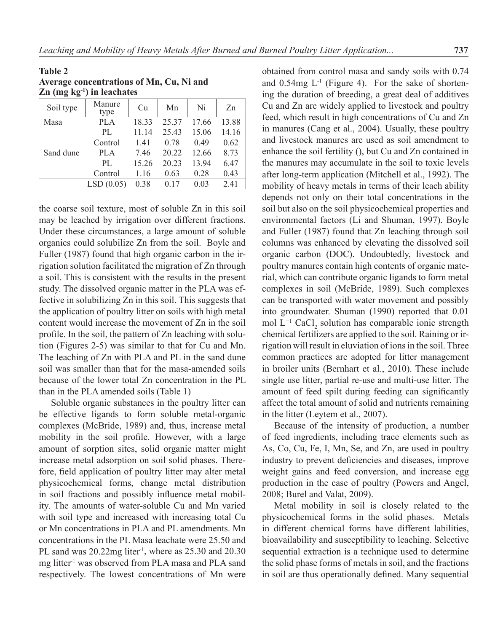| Average concentrations of Mn, Cu, Ni and<br>$\mathbb{Z}n$ (mg kg <sup>-1</sup> ) in leachates |                |    |       |       |    |
|-----------------------------------------------------------------------------------------------|----------------|----|-------|-------|----|
| Soil type                                                                                     | Manure<br>type | Cu | Mn    | Ni    | Zn |
| Masa                                                                                          | PI A           |    | 25.37 | 17 66 | 38 |

**Table 2**

|           | type        |       |             |       |       |
|-----------|-------------|-------|-------------|-------|-------|
| Masa      | PLA         | 18.33 | 25.37 17.66 |       | 13.88 |
|           | PL.         | 11.14 | 25.43       | 15.06 | 14.16 |
|           | Control     | 1.41  | 0.78        | 0.49  | 0.62  |
| Sand dune | <b>PLA</b>  | 7.46  | 20.22       | 12.66 | 8.73  |
|           | $\rm{PI}$ . | 15.26 | 20.23       | 13.94 | 6.47  |
|           | Control     | 1.16  | 0.63        | 0.28  | 0.43  |
|           | LSD(0.05)   | 0.38  | 0.17        | 0.03  | 2.41  |

the coarse soil texture, most of soluble Zn in this soil may be leached by irrigation over different fractions. Under these circumstances, a large amount of soluble organics could solubilize Zn from the soil. Boyle and Fuller (1987) found that high organic carbon in the irrigation solution facilitated the migration of Zn through a soil. This is consistent with the results in the present study. The dissolved organic matter in the PLA was effective in solubilizing Zn in this soil. This suggests that the application of poultry litter on soils with high metal content would increase the movement of Zn in the soil profile. In the soil, the pattern of Zn leaching with solution (Figures 2-5) was similar to that for Cu and Mn. The leaching of Zn with PLA and PL in the sand dune soil was smaller than that for the masa-amended soils because of the lower total Zn concentration in the PL than in the PLA amended soils (Table 1)

Soluble organic substances in the poultry litter can be effective ligands to form soluble metal-organic complexes (McBride, 1989) and, thus, increase metal mobility in the soil profile. However, with a large amount of sorption sites, solid organic matter might increase metal adsorption on soil solid phases. Therefore, field application of poultry litter may alter metal physicochemical forms, change metal distribution in soil fractions and possibly influence metal mobility. The amounts of water-soluble Cu and Mn varied with soil type and increased with increasing total Cu or Mn concentrations in PLA and PL amendments. Mn concentrations in the PL Masa leachate were 25.50 and PL sand was  $20.22mg$  liter<sup>1</sup>, where as  $25.30$  and  $20.30$ mg litter<sup>1</sup> was observed from PLA masa and PLA sand respectively. The lowest concentrations of Mn were obtained from control masa and sandy soils with 0.74 and  $0.54mg$  L<sup>-1</sup> (Figure 4). For the sake of shortening the duration of breeding, a great deal of additives Cu and Zn are widely applied to livestock and poultry feed, which result in high concentrations of Cu and Zn in manures (Cang et al., 2004). Usually, these poultry and livestock manures are used as soil amendment to enhance the soil fertility (), but Cu and Zn contained in the manures may accumulate in the soil to toxic levels after long-term application (Mitchell et al., 1992). The mobility of heavy metals in terms of their leach ability depends not only on their total concentrations in the soil but also on the soil physicochemical properties and environmental factors (Li and Shuman, 1997). Boyle and Fuller (1987) found that Zn leaching through soil columns was enhanced by elevating the dissolved soil organic carbon (DOC). Undoubtedly, livestock and poultry manures contain high contents of organic material, which can contribute organic ligands to form metal complexes in soil (McBride, 1989). Such complexes can be transported with water movement and possibly into groundwater. Shuman (1990) reported that 0.01 mol L<sup>−1</sup> CaCl<sub>2</sub> solution has comparable ionic strength chemical fertilizers are applied to the soil. Raining or irrigation will result in eluviation of ions in the soil. Three common practices are adopted for litter management in broiler units (Bernhart et al., 2010). These include single use litter, partial re-use and multi-use litter. The amount of feed spilt during feeding can significantly affect the total amount of solid and nutrients remaining in the litter (Leytem et al., 2007).

Because of the intensity of production, a number of feed ingredients, including trace elements such as As, Co, Cu, Fe, I, Mn, Se, and Zn, are used in poultry industry to prevent deficiencies and diseases, improve weight gains and feed conversion, and increase egg production in the case of poultry (Powers and Angel, 2008; Burel and Valat, 2009).

Metal mobility in soil is closely related to the physicochemical forms in the solid phases. Metals in different chemical forms have different labilities, bioavailability and susceptibility to leaching. Selective sequential extraction is a technique used to determine the solid phase forms of metals in soil, and the fractions in soil are thus operationally defined. Many sequential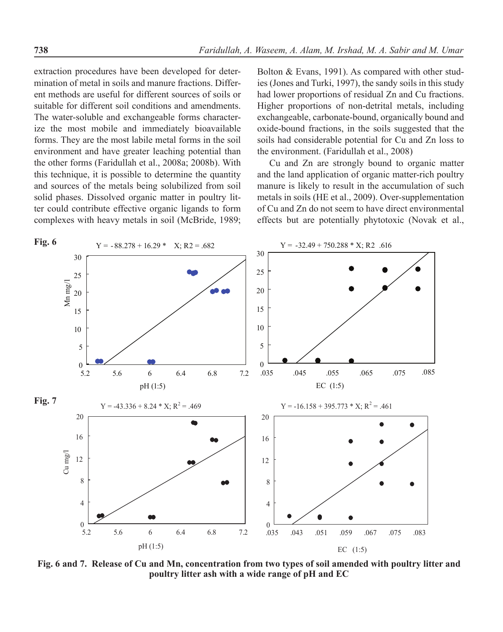extraction procedures have been developed for determination of metal in soils and manure fractions. Different methods are useful for different sources of soils or suitable for different soil conditions and amendments. The water-soluble and exchangeable forms characterize the most mobile and immediately bioavailable forms. They are the most labile metal forms in the soil environment and have greater leaching potential than the other forms (Faridullah et al., 2008a; 2008b). With this technique, it is possible to determine the quantity and sources of the metals being solubilized from soil solid phases. Dissolved organic matter in poultry litter could contribute effective organic ligands to form complexes with heavy metals in soil (McBride, 1989;

Bolton & Evans, 1991). As compared with other studies (Jones and Turki, 1997), the sandy soils in this study had lower proportions of residual Zn and Cu fractions. Higher proportions of non-detrital metals, including exchangeable, carbonate-bound, organically bound and oxide-bound fractions, in the soils suggested that the soils had considerable potential for Cu and Zn loss to the environment. (Faridullah et al., 2008)

Cu and Zn are strongly bound to organic matter and the land application of organic matter-rich poultry manure is likely to result in the accumulation of such metals in soils (HE et al., 2009). Over-supplementation of Cu and Zn do not seem to have direct environmental effects but are potentially phytotoxic (Novak et al.,



**Fig. 6 and 7. Release of Cu and Mn, concentration from two types of soil amended with poultry litter and poultry litter ash with a wide range of pH and EC**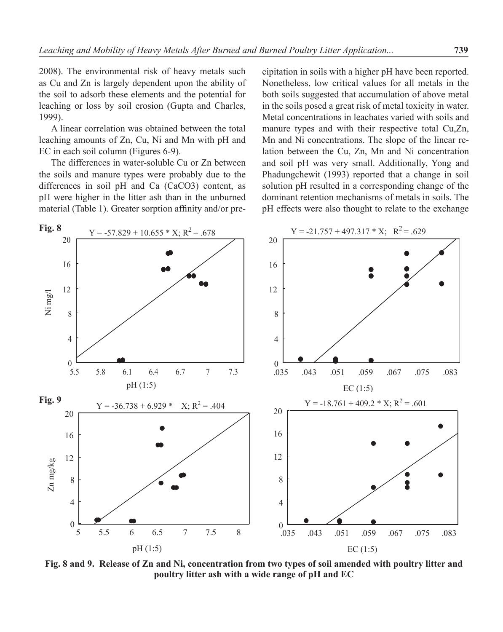2008). The environmental risk of heavy metals such as Cu and Zn is largely dependent upon the ability of the soil to adsorb these elements and the potential for leaching or loss by soil erosion (Gupta and Charles, 1999).

A linear correlation was obtained between the total leaching amounts of Zn, Cu, Ni and Mn with pH and EC in each soil column (Figures 6-9).

The differences in water-soluble Cu or Zn between the soils and manure types were probably due to the differences in soil pH and Ca (CaCO3) content, as pH were higher in the litter ash than in the unburned material (Table 1). Greater sorption affinity and/or precipitation in soils with a higher pH have been reported. Nonetheless, low critical values for all metals in the both soils suggested that accumulation of above metal in the soils posed a great risk of metal toxicity in water. Metal concentrations in leachates varied with soils and manure types and with their respective total Cu,Zn, Mn and Ni concentrations. The slope of the linear relation between the Cu, Zn, Mn and Ni concentration and soil pH was very small. Additionally, Yong and Phadungchewit (1993) reported that a change in soil solution pH resulted in a corresponding change of the dominant retention mechanisms of metals in soils. The pH effects were also thought to relate to the exchange



**Fig. 8 and 9. Release of Zn and Ni, concentration from two types of soil amended with poultry litter and poultry litter ash with a wide range of pH and EC**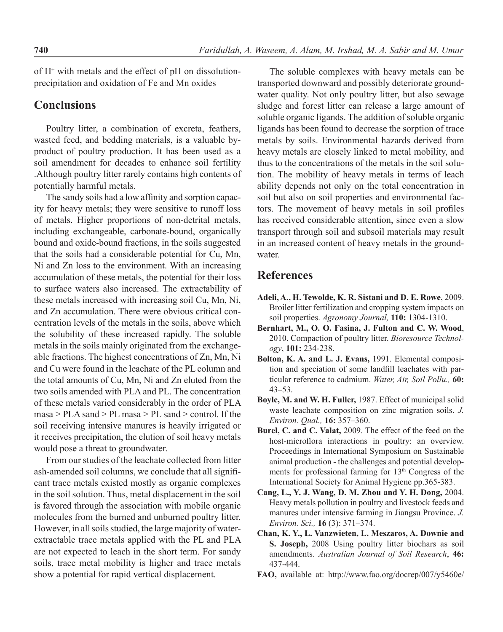of  $H^+$  with metals and the effect of pH on dissolutionprecipitation and oxidation of Fe and Mn oxides

## **Conclusions**

Poultry litter, a combination of excreta, feathers, wasted feed, and bedding materials, is a valuable byproduct of poultry production. It has been used as a soil amendment for decades to enhance soil fertility .Although poultry litter rarely contains high contents of potentially harmful metals.

The sandy soils had a low affinity and sorption capacity for heavy metals; they were sensitive to runoff loss of metals. Higher proportions of non-detrital metals, including exchangeable, carbonate-bound, organically bound and oxide-bound fractions, in the soils suggested that the soils had a considerable potential for Cu, Mn, Ni and Zn loss to the environment. With an increasing accumulation of these metals, the potential for their loss to surface waters also increased. The extractability of these metals increased with increasing soil Cu, Mn, Ni, and Zn accumulation. There were obvious critical concentration levels of the metals in the soils, above which the solubility of these increased rapidly. The soluble metals in the soils mainly originated from the exchangeable fractions. The highest concentrations of Zn, Mn, Ni and Cu were found in the leachate of the PL column and the total amounts of Cu, Mn, Ni and Zn eluted from the two soils amended with PLA and PL. The concentration of these metals varied considerably in the order of PLA masa > PLA sand > PL masa > PL sand > control. If the soil receiving intensive manures is heavily irrigated or it receives precipitation, the elution of soil heavy metals would pose a threat to groundwater.

From our studies of the leachate collected from litter ash-amended soil columns, we conclude that all significant trace metals existed mostly as organic complexes in the soil solution. Thus, metal displacement in the soil is favored through the association with mobile organic molecules from the burned and unburned poultry litter. However, in all soils studied, the large majority of waterextractable trace metals applied with the PL and PLA are not expected to leach in the short term. For sandy soils, trace metal mobility is higher and trace metals show a potential for rapid vertical displacement.

The soluble complexes with heavy metals can be transported downward and possibly deteriorate groundwater quality. Not only poultry litter, but also sewage sludge and forest litter can release a large amount of soluble organic ligands. The addition of soluble organic ligands has been found to decrease the sorption of trace metals by soils. Environmental hazards derived from heavy metals are closely linked to metal mobility, and thus to the concentrations of the metals in the soil solution. The mobility of heavy metals in terms of leach ability depends not only on the total concentration in soil but also on soil properties and environmental factors. The movement of heavy metals in soil profiles has received considerable attention, since even a slow transport through soil and subsoil materials may result in an increased content of heavy metals in the groundwater.

## **References**

- **Adeli, A., H. Tewolde, K. R. Sistani and D. E. Rowe**, 2009. Broiler litter fertilization and cropping system impacts on soil properties. *Agronomy Journal,* **110:** 1304-1310.
- **Bernhart, M., O. O. Fasina, J. Fulton and C. W. Wood**, 2010. Compaction of poultry litter. *Bioresource Technology*, **101:** 234-238.
- **Bolton, K. A. and L. J. Evans,** 1991. Elemental composition and speciation of some landfill leachates with particular reference to cadmium. *Water, Air, Soil Pollu.,* **60:** 43–53.
- **Boyle, M. and W. H. Fuller,** 1987. Effect of municipal solid waste leachate composition on zinc migration soils. *J. Environ. Qual.,* **16:** 357–360.
- **Burel, C. and C. Valat,** 2009. The effect of the feed on the host-microflora interactions in poultry: an overview. Proceedings in International Symposium on Sustainable animal production - the challenges and potential developments for professional farming for 13<sup>th</sup> Congress of the International Society for Animal Hygiene pp.365-383.
- **Cang, L., Y. J. Wang, D. M. Zhou and Y. H. Dong,** 2004. Heavy metals pollution in poultry and livestock feeds and manures under intensive farming in Jiangsu Province. *J. Environ. Sci.,* **16** (3): 371–374.
- **Chan, K. Y., L. Vanzwieten, L. Meszaros, A. Downie and S. Joseph,** 2008 Using poultry litter biochars as soil amendments. *Australian Journal of Soil Research*, **46:** 437-444.
- **FAO,** available at: http://www.fao.org/docrep/007/y5460e/